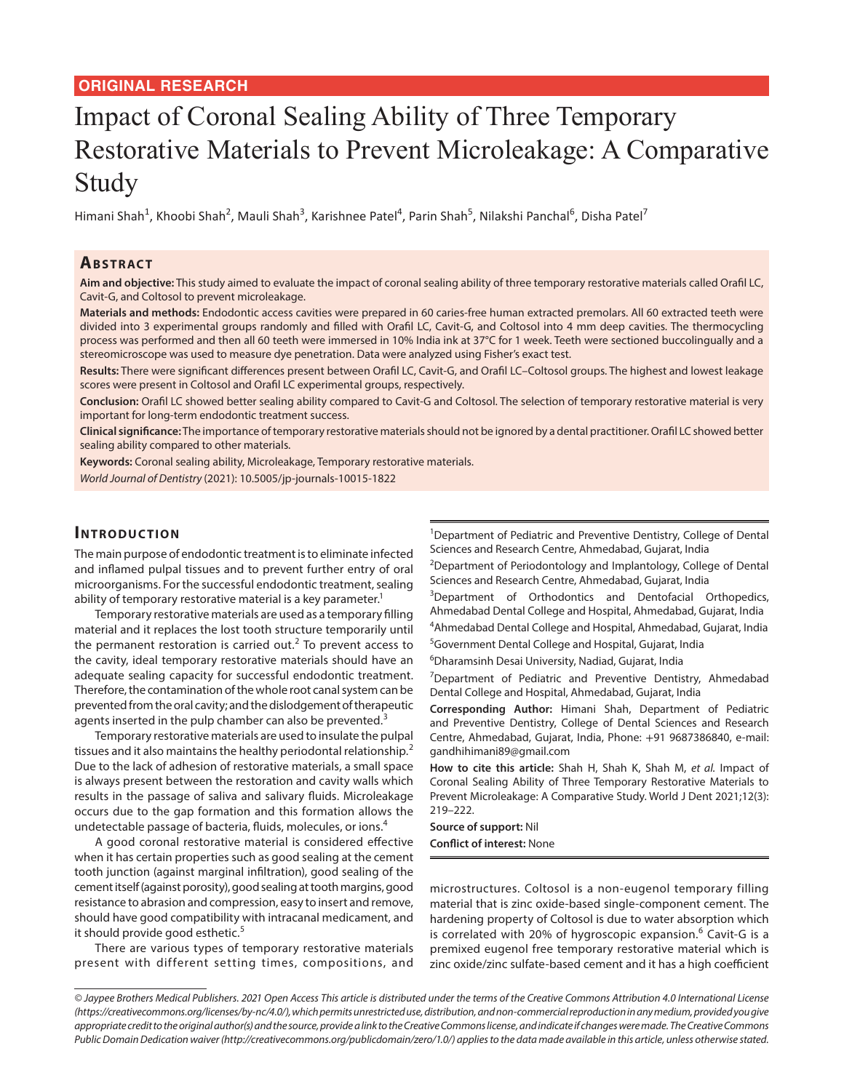### **ORIGINAL RESEARCH**

# Impact of Coronal Sealing Ability of Three Temporary Restorative Materials to Prevent Microleakage: A Comparative Study

Himani Shah<sup>1</sup>, Khoobi Shah<sup>2</sup>, Mauli Shah<sup>3</sup>, Karishnee Patel<sup>4</sup>, Parin Shah<sup>5</sup>, Nilakshi Panchal<sup>6</sup>, Disha Patel<sup>7</sup>

#### **ABSTRACT**

**Aim and objective:** This study aimed to evaluate the impact of coronal sealing ability of three temporary restorative materials called Orafil LC, Cavit-G, and Coltosol to prevent microleakage.

**Materials and methods:** Endodontic access cavities were prepared in 60 caries-free human extracted premolars. All 60 extracted teeth were divided into 3 experimental groups randomly and filled with Orafil LC, Cavit-G, and Coltosol into 4 mm deep cavities. The thermocycling process was performed and then all 60 teeth were immersed in 10% India ink at 37°C for 1 week. Teeth were sectioned buccolingually and a stereomicroscope was used to measure dye penetration. Data were analyzed using Fisher's exact test.

**Results:** There were significant differences present between Orafil LC, Cavit-G, and Orafil LC–Coltosol groups. The highest and lowest leakage scores were present in Coltosol and Orafil LC experimental groups, respectively.

**Conclusion:** Orafil LC showed better sealing ability compared to Cavit-G and Coltosol. The selection of temporary restorative material is very important for long-term endodontic treatment success.

**Clinical significance:** The importance of temporary restorative materials should not be ignored by a dental practitioner. Orafil LC showed better sealing ability compared to other materials.

**Keywords:** Coronal sealing ability, Microleakage, Temporary restorative materials.

*World Journal of Dentistry* (2021): 10.5005/jp-journals-10015-1822

#### **INTRODUCTION**

The main purpose of endodontic treatment is to eliminate infected and inflamed pulpal tissues and to prevent further entry of oral microorganisms. For the successful endodontic treatment, sealing ability of temporary restorative material is a key parameter.<sup>1</sup>

Temporary restorative materials are used as a temporary filling material and it replaces the lost tooth structure temporarily until the permanent restoration is carried out.<sup>2</sup> To prevent access to the cavity, ideal temporary restorative materials should have an adequate sealing capacity for successful endodontic treatment. Therefore, the contamination of the whole root canal system can be prevented from the oral cavity; and the dislodgement of therapeutic agents inserted in the pulp chamber can also be prevented.<sup>3</sup>

Temporary restorative materials are used to insulate the pulpal tissues and it also maintains the healthy periodontal relationship.<sup>2</sup> Due to the lack of adhesion of restorative materials, a small space is always present between the restoration and cavity walls which results in the passage of saliva and salivary fluids. Microleakage occurs due to the gap formation and this formation allows the undetectable passage of bacteria, fluids, molecules, or ions.<sup>4</sup>

A good coronal restorative material is considered effective when it has certain properties such as good sealing at the cement tooth junction (against marginal infiltration), good sealing of the cement itself (against porosity), good sealing at tooth margins, good resistance to abrasion and compression, easy to insert and remove, should have good compatibility with intracanal medicament, and it should provide good esthetic.<sup>5</sup>

There are various types of temporary restorative materials present with different setting times, compositions, and

<sup>1</sup>Department of Pediatric and Preventive Dentistry, College of Dental Sciences and Research Centre, Ahmedabad, Gujarat, India

<sup>2</sup>Department of Periodontology and Implantology, College of Dental Sciences and Research Centre, Ahmedabad, Gujarat, India

<sup>3</sup>Department of Orthodontics and Dentofacial Orthopedics, Ahmedabad Dental College and Hospital, Ahmedabad, Gujarat, India

4 Ahmedabad Dental College and Hospital, Ahmedabad, Gujarat, India

<sup>5</sup>Government Dental College and Hospital, Gujarat, India

6 Dharamsinh Desai University, Nadiad, Gujarat, India

<sup>7</sup>Department of Pediatric and Preventive Dentistry, Ahmedabad Dental College and Hospital, Ahmedabad, Gujarat, India

**Corresponding Author:** Himani Shah, Department of Pediatric and Preventive Dentistry, College of Dental Sciences and Research Centre, Ahmedabad, Gujarat, India, Phone: +91 9687386840, e-mail: gandhihimani89@gmail.com

**How to cite this article:** Shah H, Shah K, Shah M, *et al.* Impact of Coronal Sealing Ability of Three Temporary Restorative Materials to Prevent Microleakage: A Comparative Study. World J Dent 2021;12(3): 219–222.

**Source of support:** Nil **Conflict of interest:** None

microstructures. Coltosol is a non-eugenol temporary filling material that is zinc oxide-based single-component cement. The hardening property of Coltosol is due to water absorption which is correlated with 20% of hygroscopic expansion. $^6$  Cavit-G is a premixed eugenol free temporary restorative material which is zinc oxide/zinc sulfate-based cement and it has a high coefficient

*<sup>©</sup> Jaypee Brothers Medical Publishers. 2021 Open Access This article is distributed under the terms of the Creative Commons Attribution 4.0 International License (https://creativecommons.org/licenses/by-nc/4.0/), which permits unrestricted use, distribution, and non-commercial reproduction in any medium, provided you give appropriate credit to the original author(s) and the source, provide a link to the Creative Commons license, and indicate if changes were made. The Creative Commons Public Domain Dedication waiver (http://creativecommons.org/publicdomain/zero/1.0/) applies to the data made available in this article, unless otherwise stated.*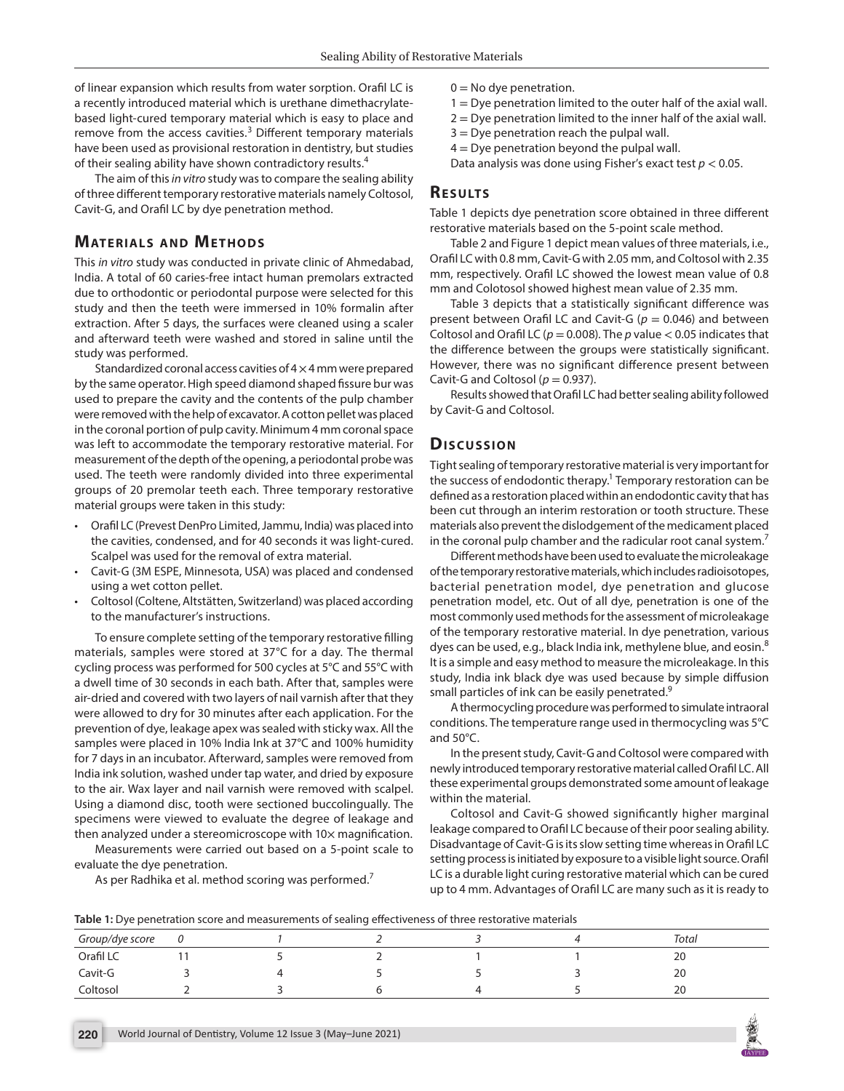of linear expansion which results from water sorption. Orafil LC is a recently introduced material which is urethane dimethacrylatebased light-cured temporary material which is easy to place and remove from the access cavities.<sup>3</sup> Different temporary materials have been used as provisional restoration in dentistry, but studies of their sealing ability have shown contradictory results.<sup>4</sup>

The aim of this *in vitro* study was to compare the sealing ability of three different temporary restorative materials namely Coltosol, Cavit-G, and Orafil LC by dye penetration method.

#### **MATERIALS AND METHODS**

This *in vitro* study was conducted in private clinic of Ahmedabad, India. A total of 60 caries-free intact human premolars extracted due to orthodontic or periodontal purpose were selected for this study and then the teeth were immersed in 10% formalin after extraction. After 5 days, the surfaces were cleaned using a scaler and afterward teeth were washed and stored in saline until the study was performed.

Standardized coronal access cavities of  $4 \times 4$  mm were prepared by the same operator. High speed diamond shaped fissure bur was used to prepare the cavity and the contents of the pulp chamber were removed with the help of excavator. A cotton pellet was placed in the coronal portion of pulp cavity. Minimum 4 mm coronal space was left to accommodate the temporary restorative material. For measurement of the depth of the opening, a periodontal probe was used. The teeth were randomly divided into three experimental groups of 20 premolar teeth each. Three temporary restorative material groups were taken in this study:

- Orafil LC (Prevest DenPro Limited, Jammu, India) was placed into the cavities, condensed, and for 40 seconds it was light-cured. Scalpel was used for the removal of extra material.
- Cavit-G (3M ESPE, Minnesota, USA) was placed and condensed using a wet cotton pellet.
- Coltosol (Coltene, Altstätten, Switzerland) was placed according to the manufacturer's instructions.

To ensure complete setting of the temporary restorative filling materials, samples were stored at 37°C for a day. The thermal cycling process was performed for 500 cycles at 5°C and 55°C with a dwell time of 30 seconds in each bath. After that, samples were air-dried and covered with two layers of nail varnish after that they were allowed to dry for 30 minutes after each application. For the prevention of dye, leakage apex was sealed with sticky wax. All the samples were placed in 10% India Ink at 37°C and 100% humidity for 7 days in an incubator. Afterward, samples were removed from India ink solution, washed under tap water, and dried by exposure to the air. Wax layer and nail varnish were removed with scalpel. Using a diamond disc, tooth were sectioned buccolingually. The specimens were viewed to evaluate the degree of leakage and then analyzed under a stereomicroscope with 10x magnification.

Measurements were carried out based on a 5-point scale to evaluate the dye penetration.

As per Radhika et al. method scoring was performed.<sup>7</sup>

- $0 = No$  dye penetration.
- $1 =$  Dye penetration limited to the outer half of the axial wall.
- $2$  = Dye penetration limited to the inner half of the axial wall.
- $3 =$  Dye penetration reach the pulpal wall.
- $4 =$  Dye penetration beyond the pulpal wall.

Data analysis was done using Fisher's exact test *p* < 0.05.

### **Re s u lts**

Table 1 depicts dye penetration score obtained in three different restorative materials based on the 5-point scale method.

Table 2 and Figure 1 depict mean values of three materials, i.e., Orafil LC with 0.8 mm, Cavit-G with 2.05 mm, and Coltosol with 2.35 mm, respectively. Orafil LC showed the lowest mean value of 0.8 mm and Colotosol showed highest mean value of 2.35 mm.

Table 3 depicts that a statistically significant difference was present between Orafil LC and Cavit-G ( $p = 0.046$ ) and between Coltosol and Orafil LC ( $p = 0.008$ ). The  $p$  value  $< 0.05$  indicates that the difference between the groups were statistically significant. However, there was no significant difference present between Cavit-G and Coltosol ( $p = 0.937$ ).

Results showed that Orafil LC had better sealing ability followed by Cavit-G and Coltosol.

### **Dis c u s sio n**

Tight sealing of temporary restorative material is very important for the success of endodontic therapy.<sup>1</sup> Temporary restoration can be defined as a restoration placed within an endodontic cavity that has been cut through an interim restoration or tooth structure. These materials also prevent the dislodgement of the medicament placed in the coronal pulp chamber and the radicular root canal system.<sup>7</sup>

Different methods have been used to evaluate the microleakage of the temporary restorative materials, which includes radioisotopes, bacterial penetration model, dye penetration and glucose penetration model, etc. Out of all dye, penetration is one of the most commonly used methods for the assessment of microleakage of the temporary restorative material. In dye penetration, various dyes can be used, e.g., black India ink, methylene blue, and eosin.<sup>8</sup> It is a simple and easy method to measure the microleakage. In this study, India ink black dye was used because by simple diffusion small particles of ink can be easily penetrated.<sup>9</sup>

A thermocycling procedure was performed to simulate intraoral conditions. The temperature range used in thermocycling was 5°C and 50°C.

In the present study, Cavit-G and Coltosol were compared with newly introduced temporary restorative material called Orafil LC. All these experimental groups demonstrated some amount of leakage within the material.

Coltosol and Cavit-G showed significantly higher marginal leakage compared to Orafil LC because of their poor sealing ability. Disadvantage of Cavit-G is its slow setting time whereas in Orafil LC setting process is initiated by exposure to a visible light source. Orafil LC is a durable light curing restorative material which can be cured up to 4 mm. Advantages of Orafil LC are many such as it is ready to

**Table 1:** Dye penetration score and measurements of sealing effectiveness of three restorative materials

| Group/dye score |  |  | Total |  |
|-----------------|--|--|-------|--|
| Orafil LC       |  |  | 20    |  |
| Cavit-G         |  |  | 20    |  |
| Coltosol        |  |  | 20    |  |

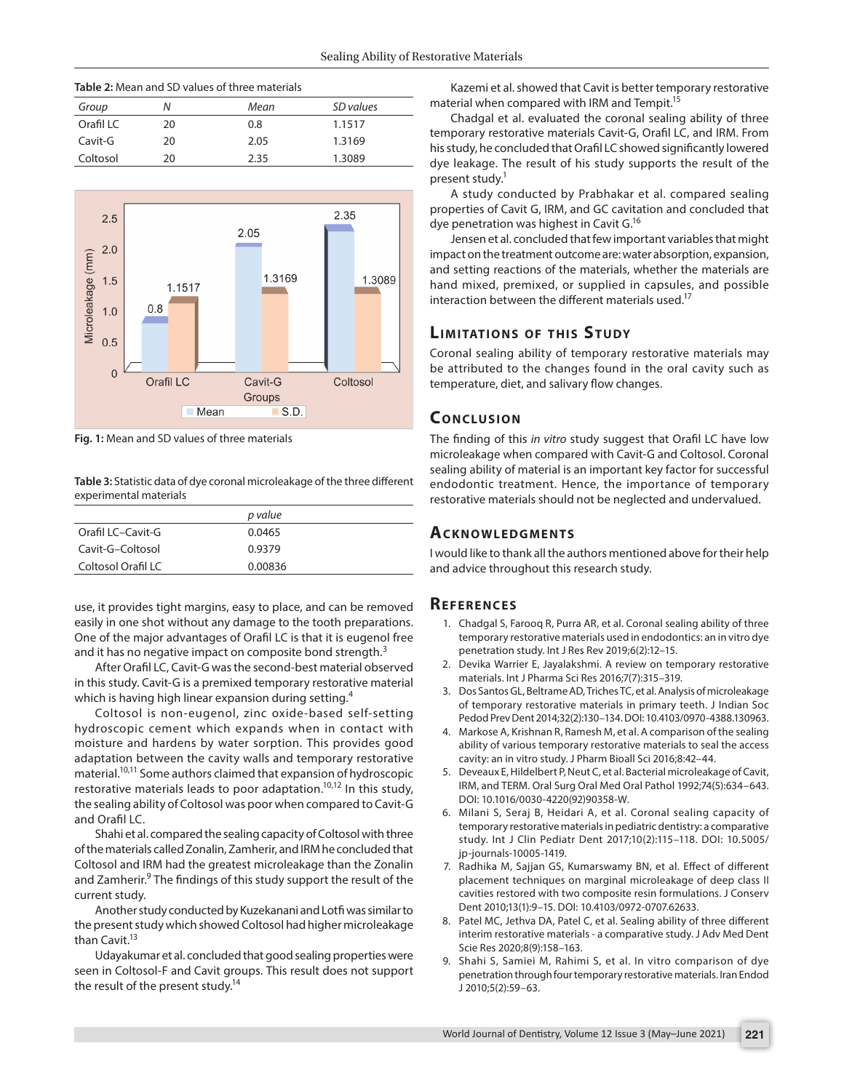| <b>Table 2:</b> Mean and SD values of three materials |    |      |           |  |  |  |  |
|-------------------------------------------------------|----|------|-----------|--|--|--|--|
| Group                                                 | Ν  | Mean | SD values |  |  |  |  |
| Orafil LC                                             | 20 | 0.8  | 1.1517    |  |  |  |  |
| Cavit-G                                               | 20 | 2.05 | 1.3169    |  |  |  |  |
| Coltosol                                              | 20 | 2.35 | 1.3089    |  |  |  |  |



**Fig. 1:** Mean and SD values of three materials

**Table 3:** Statistic data of dye coronal microleakage of the three different experimental materials

|                    | p value |
|--------------------|---------|
| Orafil LC-Cavit-G  | 0.0465  |
| Cavit-G-Coltosol   | 0.9379  |
| Coltosol Orafil LC | 0.00836 |

use, it provides tight margins, easy to place, and can be removed easily in one shot without any damage to the tooth preparations. One of the major advantages of Orafil LC is that it is eugenol free and it has no negative impact on composite bond strength.<sup>3</sup>

After Orafil LC, Cavit-G was the second-best material observed in this study. Cavit-G is a premixed temporary restorative material which is having high linear expansion during setting.<sup>4</sup>

Coltosol is non-eugenol, zinc oxide-based self-setting hydroscopic cement which expands when in contact with moisture and hardens by water sorption. This provides good adaptation between the cavity walls and temporary restorative material.10,11 Some authors claimed that expansion of hydroscopic restorative materials leads to poor adaptation.<sup>10,12</sup> In this study, the sealing ability of Coltosol was poor when compared to Cavit-G and Orafil LC.

Shahi et al. compared the sealing capacity of Coltosol with three of the materials called Zonalin, Zamherir, and IRM he concluded that Coltosol and IRM had the greatest microleakage than the Zonalin and Zamherir.<sup>9</sup> The findings of this study support the result of the current study.

Another study conducted by Kuzekanani and Lotfi was similar to the present study which showed Coltosol had higher microleakage than Cavit.<sup>13</sup>

Udayakumar et al. concluded that good sealing properties were seen in Coltosol-F and Cavit groups. This result does not support the result of the present study.<sup>14</sup>

Kazemi et al. showed that Cavit is better temporary restorative material when compared with IRM and Tempit.<sup>15</sup>

Chadgal et al. evaluated the coronal sealing ability of three temporary restorative materials Cavit-G, Orafil LC, and IRM. From his study, he concluded that Orafil LC showed significantly lowered dye leakage. The result of his study supports the result of the present study.<sup>1</sup>

A study conducted by Prabhakar et al. compared sealing properties of Cavit G, IRM, and GC cavitation and concluded that dye penetration was highest in Cavit G.16

Jensen et al. concluded that few important variables that might impact on the treatment outcome are: water absorption, expansion, and setting reactions of the materials, whether the materials are hand mixed, premixed, or supplied in capsules, and possible interaction between the different materials used.<sup>17</sup>

## **LIMITATIONS OF THIS STUDY**

Coronal sealing ability of temporary restorative materials may be attributed to the changes found in the oral cavity such as temperature, diet, and salivary flow changes.

#### **CONCLUSION**

The finding of this *in vitro* study suggest that Orafil LC have low microleakage when compared with Cavit-G and Coltosol. Coronal sealing ability of material is an important key factor for successful endodontic treatment. Hence, the importance of temporary restorative materials should not be neglected and undervalued.

## **ACKNOWLEDGMENTS**

I would like to thank all the authors mentioned above for their help and advice throughout this research study.

#### **Re f e r e n c e s**

- 1. Chadgal S, Farooq R, Purra AR, et al. Coronal sealing ability of three temporary restorative materials used in endodontics: an in vitro dye penetration study. Int J Res Rev 2019;6(2):12–15.
- 2. Devika Warrier E, Jayalakshmi. A review on temporary restorative materials. Int J Pharma Sci Res 2016;7(7):315–319.
- 3. Dos Santos GL, Beltrame AD, Triches TC, et al. Analysis of microleakage of temporary restorative materials in primary teeth. J Indian Soc Pedod Prev Dent 2014;32(2):130–134. DOI: 10.4103/0970-4388.130963.
- 4. Markose A, Krishnan R, Ramesh M, et al. A comparison of the sealing ability of various temporary restorative materials to seal the access cavity: an in vitro study. J Pharm Bioall Sci 2016;8:42–44.
- 5. Deveaux E, Hildelbert P, Neut C, et al. Bacterial microleakage of Cavit, IRM, and TERM. Oral Surg Oral Med Oral Pathol 1992;74(5):634–643. DOI: 10.1016/0030-4220(92)90358-W.
- 6. Milani S, Seraj B, Heidari A, et al. Coronal sealing capacity of temporary restorative materials in pediatric dentistry: a comparative study. Int J Clin Pediatr Dent 2017;10(2):115–118. DOI: 10.5005/ jp-journals-10005-1419.
- 7. Radhika M, Sajjan GS, Kumarswamy BN, et al. Effect of different placement techniques on marginal microleakage of deep class II cavities restored with two composite resin formulations. J Conserv Dent 2010;13(1):9–15. DOI: 10.4103/0972-0707.62633.
- 8. Patel MC, Jethva DA, Patel C, et al. Sealing ability of three different interim restorative materials - a comparative study. J Adv Med Dent Scie Res 2020;8(9):158–163.
- 9. Shahi S, Samiei M, Rahimi S, et al. In vitro comparison of dye penetration through four temporary restorative materials. Iran Endod J 2010;5(2):59–63.